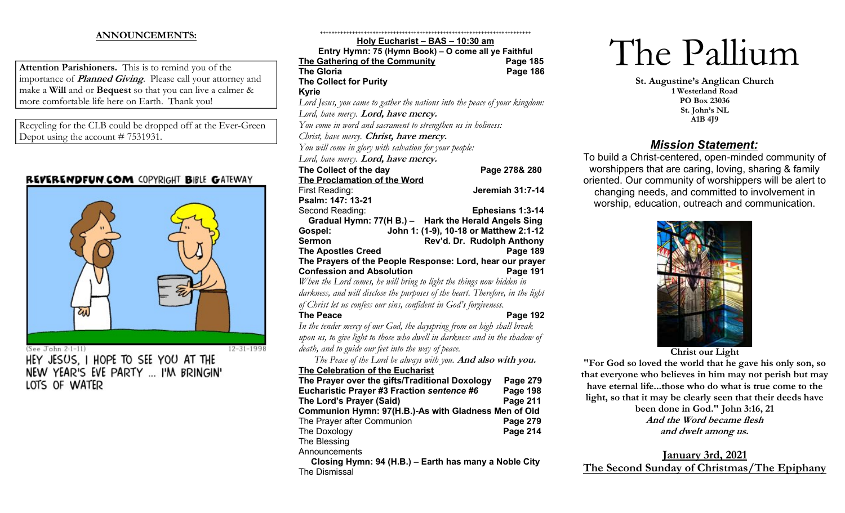## ANNOUNCEMENTS:

Attention Parishioners. This is to remind you of the importance of *Planned Giving*. Please call your attorney and make a Will and or Bequest so that you can live a calmer & more comfortable life here on Earth. Thank you!

Recycling for the CLB could be dropped off at the Ever-Green Depot using the account # 7531931.

## REVERENDFUN.COM COPYRIGHT BIBLE GATEWAY



(See John 2:1-11)

HEY JESUS. I HOPE TO SEE YOU AT THE NEW YEAR'S EVE PARTY ... I'M BRINGIN' LOTS OF WATER

++++++++++++++++++++++++++++++++++++++++++++++++++++++++++++++++++++++++ Holy Eucharist – BAS – 10:30 am Entry Hymn: 75 (Hymn Book) – O come all ye Faithful The Gathering of the Community Page 185 The Gloria **Page 186** The Collect for Purity Kyrie Lord Jesus, you came to gather the nations into the peace of your kingdom: Lord, have mercy. **Lord, have mercy.** You come in word and sacrament to strengthen us in holiness: Christ, have mercy. Christ, have mercy. You will come in glory with salvation for your people: Lord, have mercy. **Lord, have mercy.** The Collect of the day Page 278& 280 The Proclamation of the Word First Reading: The South of the Second Second Jeremiah 31:7-14 Psalm: 147: 13-21 Second Reading: Ephesians 1:3-14 Gradual Hymn: 77(H B.) – Hark the Herald Angels Sing Gospel: John 1: (1-9), 10-18 or Matthew 2:1-12 Sermon Rev'd. Dr. Rudolph Anthony The Apostles Creed **Page 189** The Prayers of the People Response: Lord, hear our prayer **Confession and Absolution** Page 191 When the Lord comes, he will bring to light the things now hidden in darkness, and will disclose the purposes of the heart. Therefore, in the light of Christ let us confess our sins, confident in God's forgiveness. The Peace **Page 192** In the tender mercy of our God, the dayspring from on high shall break upon us, to give light to those who dwell in darkness and in the shadow of death, and to guide our feet into the way of peace. The Peace of the Lord be always with you. And also with you. The Celebration of the Eucharist The Prayer over the gifts/Traditional Doxology Page 279 Eucharistic Prayer #3 Fraction sentence #6 Page 198 The Lord's Prayer (Said) Page 211 Communion Hymn: 97(H.B.)-As with Gladness Men of Old The Prayer after Communion **Page 279** The Doxology **Page 214** The Blessing **Announcements** Closing Hymn: 94 (H.B.) – Earth has many a Noble City

The Dismissal

# The Pallium

St. Augustine's Anglican Church 1 Westerland Road PO Box 23036 St. John's NL A1B 4J9

# Mission Statement:

To build a Christ-centered, open-minded community of worshippers that are caring, loving, sharing & family oriented. Our community of worshippers will be alert to changing needs, and committed to involvement in worship, education, outreach and communication.



Christ our Light

"For God so loved the world that he gave his only son, so that everyone who believes in him may not perish but may have eternal life...those who do what is true come to the light, so that it may be clearly seen that their deeds have been done in God." John 3:16, 21 And the Word became flesh and dwelt among us.

January 3rd, 2021 The Second Sunday of Christmas/The Epiphany